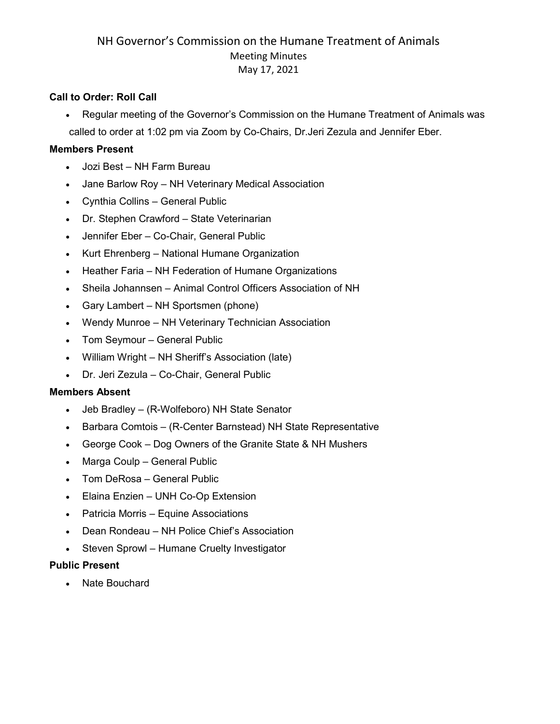#### **Call to Order: Roll Call**

• Regular meeting of the Governor's Commission on the Humane Treatment of Animals was called to order at 1:02 pm via Zoom by Co-Chairs, Dr.Jeri Zezula and Jennifer Eber.

#### **Members Present**

- Jozi Best NH Farm Bureau
- Jane Barlow Roy NH Veterinary Medical Association
- Cynthia Collins General Public
- Dr. Stephen Crawford State Veterinarian
- Jennifer Eber Co-Chair, General Public
- Kurt Ehrenberg National Humane Organization
- Heather Faria NH Federation of Humane Organizations
- Sheila Johannsen Animal Control Officers Association of NH
- Gary Lambert NH Sportsmen (phone)
- Wendy Munroe NH Veterinary Technician Association
- Tom Seymour General Public
- William Wright NH Sheriff's Association (late)
- Dr. Jeri Zezula Co-Chair, General Public

#### **Members Absent**

- Jeb Bradley (R-Wolfeboro) NH State Senator
- Barbara Comtois (R-Center Barnstead) NH State Representative
- George Cook Dog Owners of the Granite State & NH Mushers
- Marga Coulp General Public
- Tom DeRosa General Public
- Elaina Enzien UNH Co-Op Extension
- Patricia Morris Equine Associations
- Dean Rondeau NH Police Chief's Association
- Steven Sprowl Humane Cruelty Investigator

### **Public Present**

• Nate Bouchard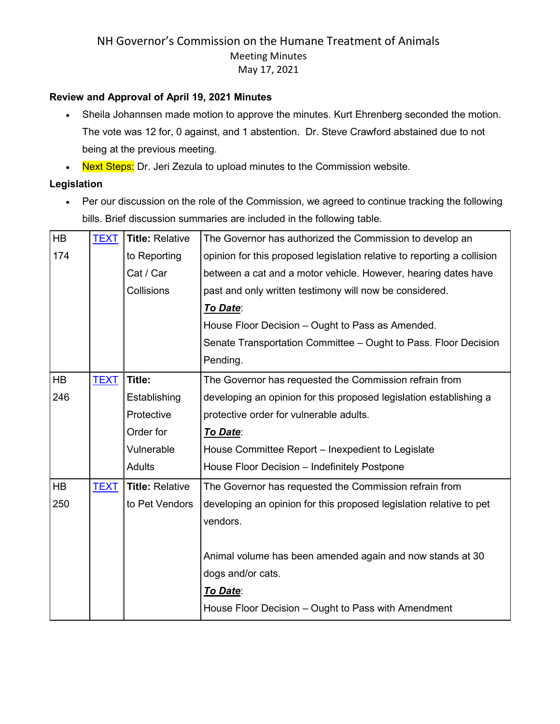#### **Review and Approval of April 19, 2021 Minutes**

- Sheila Johannsen made motion to approve the minutes. Kurt Ehrenberg seconded the motion. The vote was 12 for, 0 against, and 1 abstention. Dr. Steve Crawford abstained due to not being at the previous meeting.
- Next Steps: Dr. Jeri Zezula to upload minutes to the Commission website.

### **Legislation**

• Per our discussion on the role of the Commission, we agreed to continue tracking the following bills. Brief discussion summaries are included in the following table.

| HB        | <b>TEXT</b> | <b>Title: Relative</b> | The Governor has authorized the Commission to develop an                |
|-----------|-------------|------------------------|-------------------------------------------------------------------------|
| 174       |             | to Reporting           | opinion for this proposed legislation relative to reporting a collision |
|           |             | Cat / Car              | between a cat and a motor vehicle. However, hearing dates have          |
|           |             | Collisions             | past and only written testimony will now be considered.                 |
|           |             |                        | To Date:                                                                |
|           |             |                        | House Floor Decision - Ought to Pass as Amended.                        |
|           |             |                        | Senate Transportation Committee - Ought to Pass. Floor Decision         |
|           |             |                        | Pending.                                                                |
| <b>HB</b> | <b>TEXT</b> | Title:                 | The Governor has requested the Commission refrain from                  |
| 246       |             | Establishing           | developing an opinion for this proposed legislation establishing a      |
|           |             | Protective             | protective order for vulnerable adults.                                 |
|           |             | Order for              | To Date:                                                                |
|           |             | Vulnerable             | House Committee Report – Inexpedient to Legislate                       |
|           |             | <b>Adults</b>          | House Floor Decision - Indefinitely Postpone                            |
| <b>HB</b> | <b>TEXT</b> | <b>Title: Relative</b> | The Governor has requested the Commission refrain from                  |
| 250       |             | to Pet Vendors         | developing an opinion for this proposed legislation relative to pet     |
|           |             |                        | vendors.                                                                |
|           |             |                        |                                                                         |
|           |             |                        | Animal volume has been amended again and now stands at 30               |
|           |             |                        | dogs and/or cats.                                                       |
|           |             |                        | To Date:                                                                |
|           |             |                        | House Floor Decision - Ought to Pass with Amendment                     |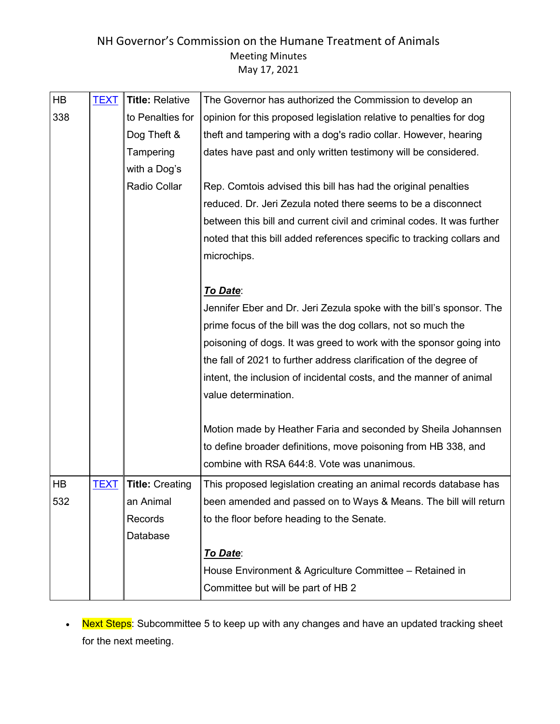| <b>TEXT</b> | <b>Title: Relative</b> | The Governor has authorized the Commission to develop an               |
|-------------|------------------------|------------------------------------------------------------------------|
|             | to Penalties for       | opinion for this proposed legislation relative to penalties for dog    |
|             | Dog Theft &            | theft and tampering with a dog's radio collar. However, hearing        |
|             | Tampering              | dates have past and only written testimony will be considered.         |
|             | with a Dog's           |                                                                        |
|             | Radio Collar           | Rep. Comtois advised this bill has had the original penalties          |
|             |                        | reduced. Dr. Jeri Zezula noted there seems to be a disconnect          |
|             |                        | between this bill and current civil and criminal codes. It was further |
|             |                        | noted that this bill added references specific to tracking collars and |
|             |                        | microchips.                                                            |
|             |                        |                                                                        |
|             |                        | To Date:                                                               |
|             |                        | Jennifer Eber and Dr. Jeri Zezula spoke with the bill's sponsor. The   |
|             |                        | prime focus of the bill was the dog collars, not so much the           |
|             |                        | poisoning of dogs. It was greed to work with the sponsor going into    |
|             |                        | the fall of 2021 to further address clarification of the degree of     |
|             |                        | intent, the inclusion of incidental costs, and the manner of animal    |
|             |                        | value determination.                                                   |
|             |                        |                                                                        |
|             |                        | Motion made by Heather Faria and seconded by Sheila Johannsen          |
|             |                        | to define broader definitions, move poisoning from HB 338, and         |
|             |                        | combine with RSA 644:8. Vote was unanimous.                            |
| <u>TEXT</u> | <b>Title: Creating</b> | This proposed legislation creating an animal records database has      |
|             | an Animal              | been amended and passed on to Ways & Means. The bill will return       |
|             | Records                | to the floor before heading to the Senate.                             |
|             | Database               |                                                                        |
|             |                        | To Date:                                                               |
|             |                        | House Environment & Agriculture Committee - Retained in                |
|             |                        | Committee but will be part of HB 2                                     |
|             |                        |                                                                        |

• Next Steps: Subcommittee 5 to keep up with any changes and have an updated tracking sheet for the next meeting.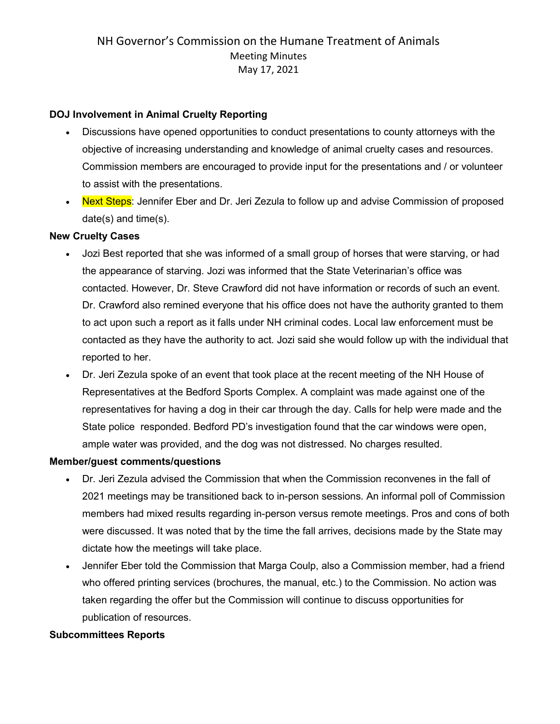#### **DOJ Involvement in Animal Cruelty Reporting**

- Discussions have opened opportunities to conduct presentations to county attorneys with the objective of increasing understanding and knowledge of animal cruelty cases and resources. Commission members are encouraged to provide input for the presentations and / or volunteer to assist with the presentations.
- Next Steps: Jennifer Eber and Dr. Jeri Zezula to follow up and advise Commission of proposed date(s) and time(s).

#### **New Cruelty Cases**

- Jozi Best reported that she was informed of a small group of horses that were starving, or had the appearance of starving. Jozi was informed that the State Veterinarian's office was contacted. However, Dr. Steve Crawford did not have information or records of such an event. Dr. Crawford also remined everyone that his office does not have the authority granted to them to act upon such a report as it falls under NH criminal codes. Local law enforcement must be contacted as they have the authority to act. Jozi said she would follow up with the individual that reported to her.
- Dr. Jeri Zezula spoke of an event that took place at the recent meeting of the NH House of Representatives at the Bedford Sports Complex. A complaint was made against one of the representatives for having a dog in their car through the day. Calls for help were made and the State police responded. Bedford PD's investigation found that the car windows were open, ample water was provided, and the dog was not distressed. No charges resulted.

#### **Member/guest comments/questions**

- Dr. Jeri Zezula advised the Commission that when the Commission reconvenes in the fall of 2021 meetings may be transitioned back to in-person sessions. An informal poll of Commission members had mixed results regarding in-person versus remote meetings. Pros and cons of both were discussed. It was noted that by the time the fall arrives, decisions made by the State may dictate how the meetings will take place.
- Jennifer Eber told the Commission that Marga Coulp, also a Commission member, had a friend who offered printing services (brochures, the manual, etc.) to the Commission. No action was taken regarding the offer but the Commission will continue to discuss opportunities for publication of resources.

#### **Subcommittees Reports**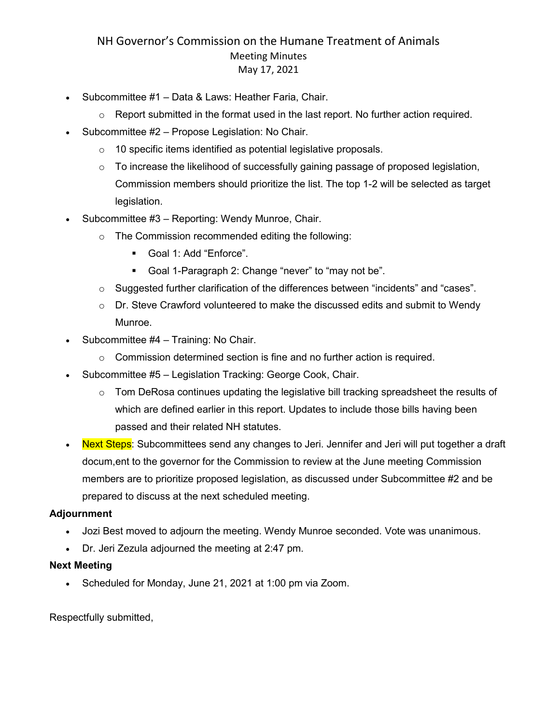- Subcommittee #1 Data & Laws: Heather Faria, Chair.
	- o Report submitted in the format used in the last report. No further action required.
- Subcommittee #2 Propose Legislation: No Chair.
	- $\circ$  10 specific items identified as potential legislative proposals.
	- $\circ$  To increase the likelihood of successfully gaining passage of proposed legislation, Commission members should prioritize the list. The top 1-2 will be selected as target legislation.
- Subcommittee #3 Reporting: Wendy Munroe, Chair.
	- o The Commission recommended editing the following:
		- Goal 1: Add "Enforce".
		- Goal 1-Paragraph 2: Change "never" to "may not be".
	- $\circ$  Suggested further clarification of the differences between "incidents" and "cases".
	- $\circ$  Dr. Steve Crawford volunteered to make the discussed edits and submit to Wendy Munroe.
- Subcommittee #4 Training: No Chair.
	- o Commission determined section is fine and no further action is required.
- Subcommittee #5 Legislation Tracking: George Cook, Chair.
	- o Tom DeRosa continues updating the legislative bill tracking spreadsheet the results of which are defined earlier in this report. Updates to include those bills having been passed and their related NH statutes.
- Next Steps: Subcommittees send any changes to Jeri. Jennifer and Jeri will put together a draft docum,ent to the governor for the Commission to review at the June meeting Commission members are to prioritize proposed legislation, as discussed under Subcommittee #2 and be prepared to discuss at the next scheduled meeting.

#### **Adjournment**

- Jozi Best moved to adjourn the meeting. Wendy Munroe seconded. Vote was unanimous.
- Dr. Jeri Zezula adjourned the meeting at 2:47 pm.

#### **Next Meeting**

• Scheduled for Monday, June 21, 2021 at 1:00 pm via Zoom.

Respectfully submitted,